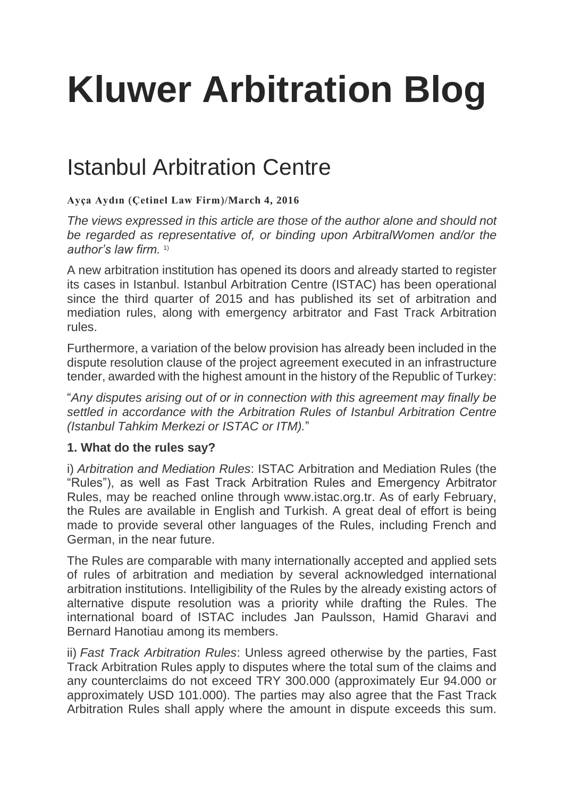# **[Kluwer Arbitration Blog](http://arbitrationblog.kluwerarbitration.com/)**

# [Istanbul Arbitration Centre](http://arbitrationblog.kluwerarbitration.com/2016/03/04/istanbul-arbitration-centre/)

## **[Ayça Aydın](http://arbitrationblog.kluwerarbitration.com/author/ayca-aydin/)** (**[Çetinel Law Firm](http://www.ycetinel.av.tr/)**)/**[March 4, 2016](http://arbitrationblog.kluwerarbitration.com/2016/03/04/istanbul-arbitration-centre/)**

*The views expressed in this article are those of the author alone and should not be regarded as representative of, or binding upon ArbitralWomen and/or the author's law firm.* 1)

A new arbitration institution has opened its doors and already started to register its cases in Istanbul. Istanbul Arbitration Centre (ISTAC) has been operational since the third quarter of 2015 and has published its set of arbitration and mediation rules, along with emergency arbitrator and Fast Track Arbitration rules.

Furthermore, a variation of the below provision has already been included in the dispute resolution clause of the project agreement executed in an infrastructure tender, awarded with the highest amount in the history of the Republic of Turkey:

"*Any disputes arising out of or in connection with this agreement may finally be settled in accordance with the Arbitration Rules of Istanbul Arbitration Centre (Istanbul Tahkim Merkezi or ISTAC or ITM).*"

# **1. What do the rules say?**

i) *Arbitration and Mediation Rules*: ISTAC Arbitration and Mediation Rules (the "Rules"), as well as Fast Track Arbitration Rules and Emergency Arbitrator Rules, may be reached online through www.istac.org.tr. As of early February, the Rules are available in English and Turkish. A great deal of effort is being made to provide several other languages of the Rules, including French and German, in the near future.

The Rules are comparable with many internationally accepted and applied sets of rules of arbitration and mediation by several acknowledged international arbitration institutions. Intelligibility of the Rules by the already existing actors of alternative dispute resolution was a priority while drafting the Rules. The international board of ISTAC includes Jan Paulsson, Hamid Gharavi and Bernard Hanotiau among its members.

ii) *Fast Track Arbitration Rules*: Unless agreed otherwise by the parties, Fast Track Arbitration Rules apply to disputes where the total sum of the claims and any counterclaims do not exceed TRY 300.000 (approximately Eur 94.000 or approximately USD 101.000). The parties may also agree that the Fast Track Arbitration Rules shall apply where the amount in dispute exceeds this sum.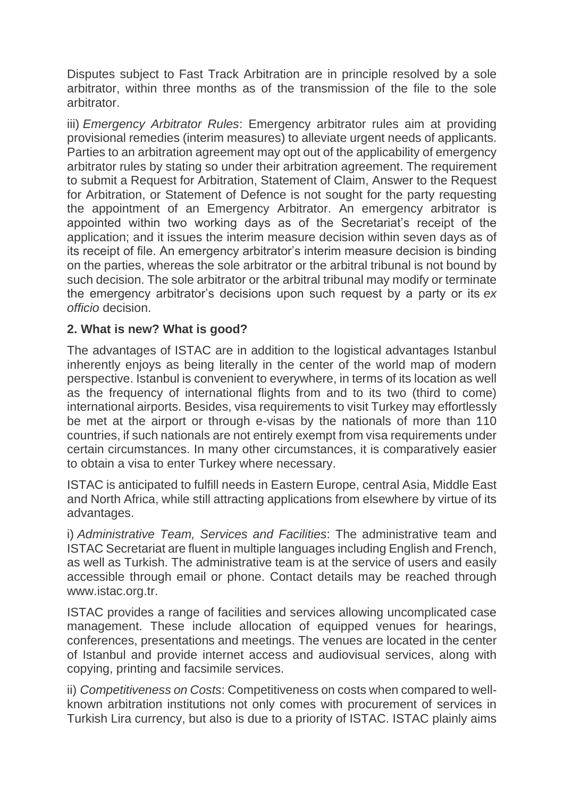Disputes subject to Fast Track Arbitration are in principle resolved by a sole arbitrator, within three months as of the transmission of the file to the sole arbitrator.

iii) *Emergency Arbitrator Rules*: Emergency arbitrator rules aim at providing provisional remedies (interim measures) to alleviate urgent needs of applicants. Parties to an arbitration agreement may opt out of the applicability of emergency arbitrator rules by stating so under their arbitration agreement. The requirement to submit a Request for Arbitration, Statement of Claim, Answer to the Request for Arbitration, or Statement of Defence is not sought for the party requesting the appointment of an Emergency Arbitrator. An emergency arbitrator is appointed within two working days as of the Secretariat's receipt of the application; and it issues the interim measure decision within seven days as of its receipt of file. An emergency arbitrator's interim measure decision is binding on the parties, whereas the sole arbitrator or the arbitral tribunal is not bound by such decision. The sole arbitrator or the arbitral tribunal may modify or terminate the emergency arbitrator's decisions upon such request by a party or its *ex officio* decision.

### **2. What is new? What is good?**

The advantages of ISTAC are in addition to the logistical advantages Istanbul inherently enjoys as being literally in the center of the world map of modern perspective. Istanbul is convenient to everywhere, in terms of its location as well as the frequency of international flights from and to its two (third to come) international airports. Besides, visa requirements to visit Turkey may effortlessly be met at the airport or through e-visas by the nationals of more than 110 countries, if such nationals are not entirely exempt from visa requirements under certain circumstances. In many other circumstances, it is comparatively easier to obtain a visa to enter Turkey where necessary.

ISTAC is anticipated to fulfill needs in Eastern Europe, central Asia, Middle East and North Africa, while still attracting applications from elsewhere by virtue of its advantages.

i) *Administrative Team, Services and Facilities*: The administrative team and ISTAC Secretariat are fluent in multiple languages including English and French, as well as Turkish. The administrative team is at the service of users and easily accessible through email or phone. Contact details may be reached through www.istac.org.tr.

ISTAC provides a range of facilities and services allowing uncomplicated case management. These include allocation of equipped venues for hearings, conferences, presentations and meetings. The venues are located in the center of Istanbul and provide internet access and audiovisual services, along with copying, printing and facsimile services.

ii) *Competitiveness on Costs*: Competitiveness on costs when compared to wellknown arbitration institutions not only comes with procurement of services in Turkish Lira currency, but also is due to a priority of ISTAC. ISTAC plainly aims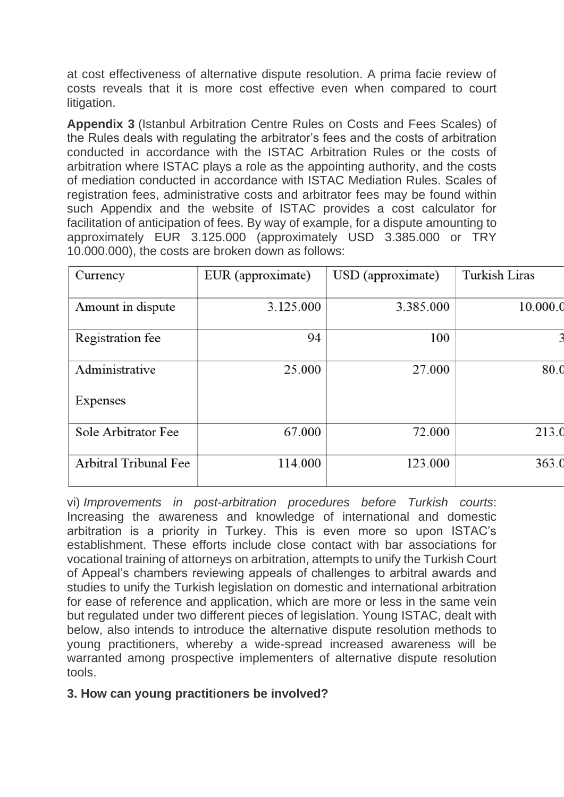at cost effectiveness of alternative dispute resolution. A prima facie review of costs reveals that it is more cost effective even when compared to court litigation.

**Appendix 3** (Istanbul Arbitration Centre Rules on Costs and Fees Scales) of the Rules deals with regulating the arbitrator's fees and the costs of arbitration conducted in accordance with the ISTAC Arbitration Rules or the costs of arbitration where ISTAC plays a role as the appointing authority, and the costs of mediation conducted in accordance with ISTAC Mediation Rules. Scales of registration fees, administrative costs and arbitrator fees may be found within such Appendix and the website of ISTAC provides a cost calculator for facilitation of anticipation of fees. By way of example, for a dispute amounting to approximately EUR 3.125.000 (approximately USD 3.385.000 or TRY 10.000.000), the costs are broken down as follows:

| Currency              | EUR (approximate) | USD (approximate) | <b>Turkish Liras</b> |
|-----------------------|-------------------|-------------------|----------------------|
| Amount in dispute     | 3.125.000         | 3.385.000         | 10.000.0             |
| Registration fee      | 94                | 100               | 3                    |
| Administrative        | 25.000            | 27.000            | 80.0                 |
| Expenses              |                   |                   |                      |
| Sole Arbitrator Fee   | 67.000            | 72.000            | 213.0                |
| Arbitral Tribunal Fee | 114.000           | 123.000           | 363.0                |

vi) *Improvements in post-arbitration procedures before Turkish courts*: Increasing the awareness and knowledge of international and domestic arbitration is a priority in Turkey. This is even more so upon ISTAC's establishment. These efforts include close contact with bar associations for vocational training of attorneys on arbitration, attempts to unify the Turkish Court of Appeal's chambers reviewing appeals of challenges to arbitral awards and studies to unify the Turkish legislation on domestic and international arbitration for ease of reference and application, which are more or less in the same vein but regulated under two different pieces of legislation. Young ISTAC, dealt with below, also intends to introduce the alternative dispute resolution methods to young practitioners, whereby a wide-spread increased awareness will be warranted among prospective implementers of alternative dispute resolution tools.

### **3. How can young practitioners be involved?**